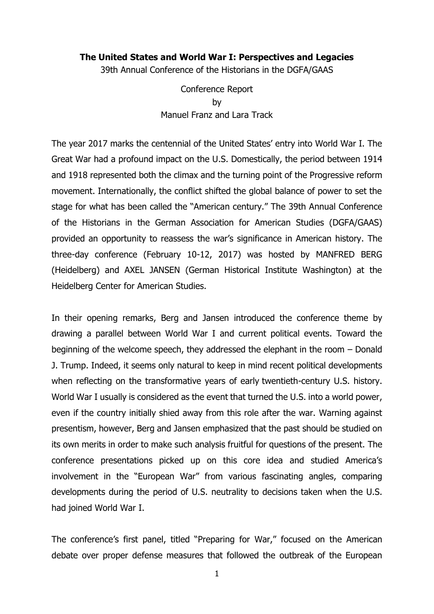#### **The United States and World War I: Perspectives and Legacies**

39th Annual Conference of the Historians in the DGFA/GAAS

Conference Report by Manuel Franz and Lara Track

The year 2017 marks the centennial of the United States' entry into World War I. The Great War had a profound impact on the U.S. Domestically, the period between 1914 and 1918 represented both the climax and the turning point of the Progressive reform movement. Internationally, the conflict shifted the global balance of power to set the stage for what has been called the "American century." The 39th Annual Conference of the Historians in the German Association for American Studies (DGFA/GAAS) provided an opportunity to reassess the war's significance in American history. The three-day conference (February 10-12, 2017) was hosted by MANFRED BERG (Heidelberg) and AXEL JANSEN (German Historical Institute Washington) at the Heidelberg Center for American Studies.

In their opening remarks, Berg and Jansen introduced the conference theme by drawing a parallel between World War I and current political events. Toward the beginning of the welcome speech, they addressed the elephant in the room – Donald J. Trump. Indeed, it seems only natural to keep in mind recent political developments when reflecting on the transformative years of early twentieth-century U.S. history. World War I usually is considered as the event that turned the U.S. into a world power, even if the country initially shied away from this role after the war. Warning against presentism, however, Berg and Jansen emphasized that the past should be studied on its own merits in order to make such analysis fruitful for questions of the present. The conference presentations picked up on this core idea and studied America's involvement in the "European War" from various fascinating angles, comparing developments during the period of U.S. neutrality to decisions taken when the U.S. had joined World War I.

The conference's first panel, titled "Preparing for War," focused on the American debate over proper defense measures that followed the outbreak of the European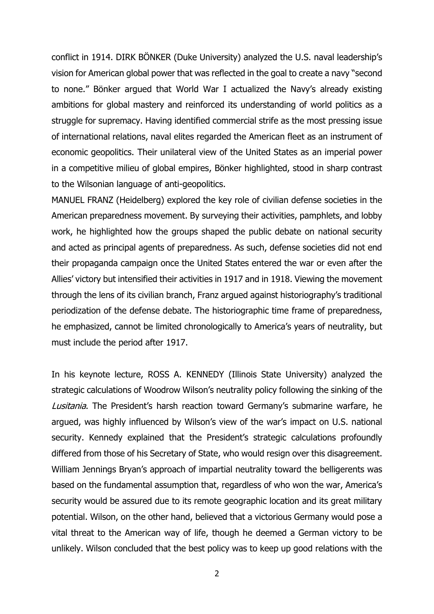conflict in 1914. DIRK BÖNKER (Duke University) analyzed the U.S. naval leadership's vision for American global power that was reflected in the goal to create a navy "second to none." Bönker argued that World War I actualized the Navy's already existing ambitions for global mastery and reinforced its understanding of world politics as a struggle for supremacy. Having identified commercial strife as the most pressing issue of international relations, naval elites regarded the American fleet as an instrument of economic geopolitics. Their unilateral view of the United States as an imperial power in a competitive milieu of global empires, Bönker highlighted, stood in sharp contrast to the Wilsonian language of anti-geopolitics.

MANUEL FRANZ (Heidelberg) explored the key role of civilian defense societies in the American preparedness movement. By surveying their activities, pamphlets, and lobby work, he highlighted how the groups shaped the public debate on national security and acted as principal agents of preparedness. As such, defense societies did not end their propaganda campaign once the United States entered the war or even after the Allies' victory but intensified their activities in 1917 and in 1918. Viewing the movement through the lens of its civilian branch, Franz argued against historiography's traditional periodization of the defense debate. The historiographic time frame of preparedness, he emphasized, cannot be limited chronologically to America's years of neutrality, but must include the period after 1917.

In his keynote lecture, ROSS A. KENNEDY (Illinois State University) analyzed the strategic calculations of Woodrow Wilson's neutrality policy following the sinking of the Lusitania. The President's harsh reaction toward Germany's submarine warfare, he argued, was highly influenced by Wilson's view of the war's impact on U.S. national security. Kennedy explained that the President's strategic calculations profoundly differed from those of his Secretary of State, who would resign over this disagreement. William Jennings Bryan's approach of impartial neutrality toward the belligerents was based on the fundamental assumption that, regardless of who won the war, America's security would be assured due to its remote geographic location and its great military potential. Wilson, on the other hand, believed that a victorious Germany would pose a vital threat to the American way of life, though he deemed a German victory to be unlikely. Wilson concluded that the best policy was to keep up good relations with the

2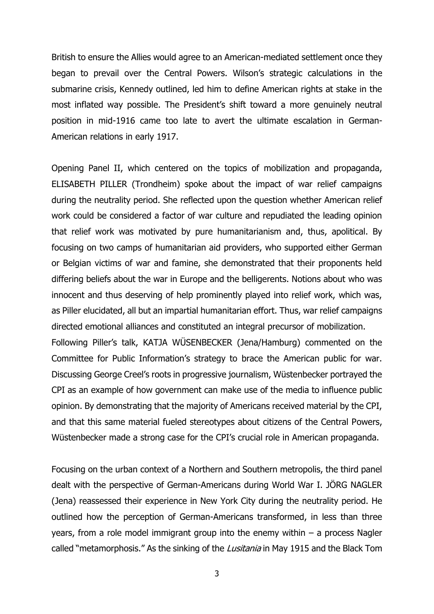British to ensure the Allies would agree to an American-mediated settlement once they began to prevail over the Central Powers. Wilson's strategic calculations in the submarine crisis, Kennedy outlined, led him to define American rights at stake in the most inflated way possible. The President's shift toward a more genuinely neutral position in mid-1916 came too late to avert the ultimate escalation in German-American relations in early 1917.

Opening Panel II, which centered on the topics of mobilization and propaganda, ELISABETH PILLER (Trondheim) spoke about the impact of war relief campaigns during the neutrality period. She reflected upon the question whether American relief work could be considered a factor of war culture and repudiated the leading opinion that relief work was motivated by pure humanitarianism and, thus, apolitical. By focusing on two camps of humanitarian aid providers, who supported either German or Belgian victims of war and famine, she demonstrated that their proponents held differing beliefs about the war in Europe and the belligerents. Notions about who was innocent and thus deserving of help prominently played into relief work, which was, as Piller elucidated, all but an impartial humanitarian effort. Thus, war relief campaigns directed emotional alliances and constituted an integral precursor of mobilization. Following Piller's talk, KATJA WÜSENBECKER (Jena/Hamburg) commented on the Committee for Public Information's strategy to brace the American public for war. Discussing George Creel's roots in progressive journalism, Wüstenbecker portrayed the CPI as an example of how government can make use of the media to influence public opinion. By demonstrating that the majority of Americans received material by the CPI, and that this same material fueled stereotypes about citizens of the Central Powers, Wüstenbecker made a strong case for the CPI's crucial role in American propaganda.

Focusing on the urban context of a Northern and Southern metropolis, the third panel dealt with the perspective of German-Americans during World War I. JÖRG NAGLER (Jena) reassessed their experience in New York City during the neutrality period. He outlined how the perception of German-Americans transformed, in less than three years, from a role model immigrant group into the enemy within – a process Nagler called "metamorphosis." As the sinking of the Lusitania in May 1915 and the Black Tom

3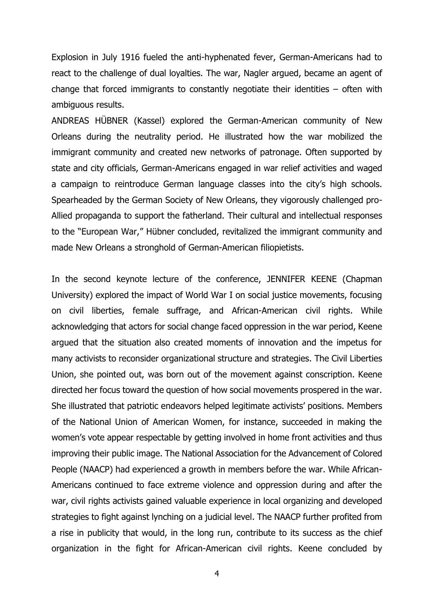Explosion in July 1916 fueled the anti-hyphenated fever, German-Americans had to react to the challenge of dual loyalties. The war, Nagler argued, became an agent of change that forced immigrants to constantly negotiate their identities – often with ambiguous results.

ANDREAS HÜBNER (Kassel) explored the German-American community of New Orleans during the neutrality period. He illustrated how the war mobilized the immigrant community and created new networks of patronage. Often supported by state and city officials, German-Americans engaged in war relief activities and waged a campaign to reintroduce German language classes into the city's high schools. Spearheaded by the German Society of New Orleans, they vigorously challenged pro-Allied propaganda to support the fatherland. Their cultural and intellectual responses to the "European War," Hübner concluded, revitalized the immigrant community and made New Orleans a stronghold of German-American filiopietists.

In the second keynote lecture of the conference, JENNIFER KEENE (Chapman University) explored the impact of World War I on social justice movements, focusing on civil liberties, female suffrage, and African-American civil rights. While acknowledging that actors for social change faced oppression in the war period, Keene argued that the situation also created moments of innovation and the impetus for many activists to reconsider organizational structure and strategies. The Civil Liberties Union, she pointed out, was born out of the movement against conscription. Keene directed her focus toward the question of how social movements prospered in the war. She illustrated that patriotic endeavors helped legitimate activists' positions. Members of the National Union of American Women, for instance, succeeded in making the women's vote appear respectable by getting involved in home front activities and thus improving their public image. The National Association for the Advancement of Colored People (NAACP) had experienced a growth in members before the war. While African-Americans continued to face extreme violence and oppression during and after the war, civil rights activists gained valuable experience in local organizing and developed strategies to fight against lynching on a judicial level. The NAACP further profited from a rise in publicity that would, in the long run, contribute to its success as the chief organization in the fight for African-American civil rights. Keene concluded by

4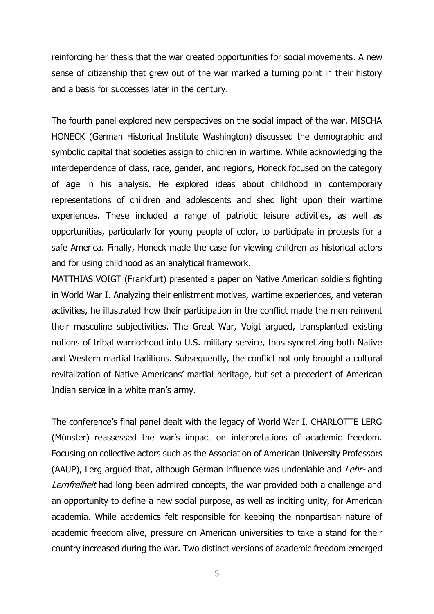reinforcing her thesis that the war created opportunities for social movements. A new sense of citizenship that grew out of the war marked a turning point in their history and a basis for successes later in the century.

The fourth panel explored new perspectives on the social impact of the war. MISCHA HONECK (German Historical Institute Washington) discussed the demographic and symbolic capital that societies assign to children in wartime. While acknowledging the interdependence of class, race, gender, and regions, Honeck focused on the category of age in his analysis. He explored ideas about childhood in contemporary representations of children and adolescents and shed light upon their wartime experiences. These included a range of patriotic leisure activities, as well as opportunities, particularly for young people of color, to participate in protests for a safe America. Finally, Honeck made the case for viewing children as historical actors and for using childhood as an analytical framework.

MATTHIAS VOIGT (Frankfurt) presented a paper on Native American soldiers fighting in World War I. Analyzing their enlistment motives, wartime experiences, and veteran activities, he illustrated how their participation in the conflict made the men reinvent their masculine subjectivities. The Great War, Voigt argued, transplanted existing notions of tribal warriorhood into U.S. military service, thus syncretizing both Native and Western martial traditions. Subsequently, the conflict not only brought a cultural revitalization of Native Americans' martial heritage, but set a precedent of American Indian service in a white man's army.

The conference's final panel dealt with the legacy of World War I. CHARLOTTE LERG (Münster) reassessed the war's impact on interpretations of academic freedom. Focusing on collective actors such as the Association of American University Professors (AAUP), Lerg argued that, although German influence was undeniable and *Lehr-* and Lernfreiheit had long been admired concepts, the war provided both a challenge and an opportunity to define a new social purpose, as well as inciting unity, for American academia. While academics felt responsible for keeping the nonpartisan nature of academic freedom alive, pressure on American universities to take a stand for their country increased during the war. Two distinct versions of academic freedom emerged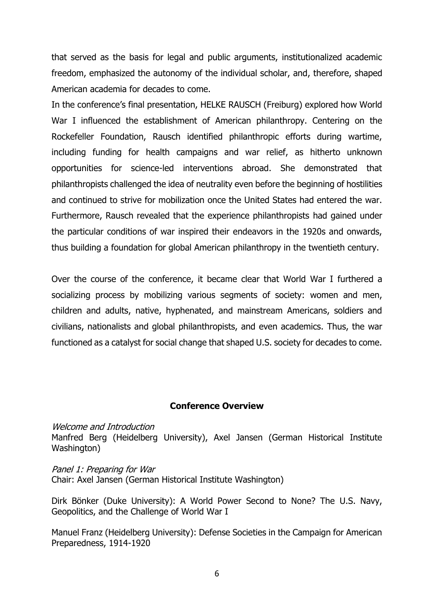that served as the basis for legal and public arguments, institutionalized academic freedom, emphasized the autonomy of the individual scholar, and, therefore, shaped American academia for decades to come.

In the conference's final presentation, HELKE RAUSCH (Freiburg) explored how World War I influenced the establishment of American philanthropy. Centering on the Rockefeller Foundation, Rausch identified philanthropic efforts during wartime, including funding for health campaigns and war relief, as hitherto unknown opportunities for science-led interventions abroad. She demonstrated that philanthropists challenged the idea of neutrality even before the beginning of hostilities and continued to strive for mobilization once the United States had entered the war. Furthermore, Rausch revealed that the experience philanthropists had gained under the particular conditions of war inspired their endeavors in the 1920s and onwards, thus building a foundation for global American philanthropy in the twentieth century.

Over the course of the conference, it became clear that World War I furthered a socializing process by mobilizing various segments of society: women and men, children and adults, native, hyphenated, and mainstream Americans, soldiers and civilians, nationalists and global philanthropists, and even academics. Thus, the war functioned as a catalyst for social change that shaped U.S. society for decades to come.

#### **Conference Overview**

Welcome and Introduction

Manfred Berg (Heidelberg University), Axel Jansen (German Historical Institute Washington)

Panel 1: Preparing for War Chair: Axel Jansen (German Historical Institute Washington)

Dirk Bönker (Duke University): A World Power Second to None? The U.S. Navy, Geopolitics, and the Challenge of World War I

Manuel Franz (Heidelberg University): Defense Societies in the Campaign for American Preparedness, 1914-1920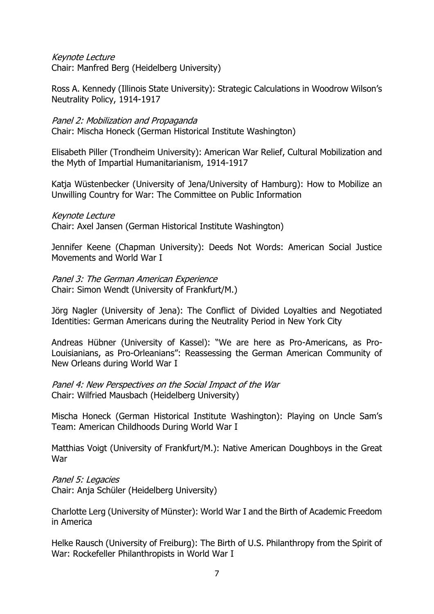# Keynote Lecture

Chair: Manfred Berg (Heidelberg University)

Ross A. Kennedy (Illinois State University): Strategic Calculations in Woodrow Wilson's Neutrality Policy, 1914-1917

# Panel 2: Mobilization and Propaganda

Chair: Mischa Honeck (German Historical Institute Washington)

Elisabeth Piller (Trondheim University): American War Relief, Cultural Mobilization and the Myth of Impartial Humanitarianism, 1914-1917

Katja Wüstenbecker (University of Jena/University of Hamburg): How to Mobilize an Unwilling Country for War: The Committee on Public Information

# Keynote Lecture

Chair: Axel Jansen (German Historical Institute Washington)

Jennifer Keene (Chapman University): Deeds Not Words: American Social Justice Movements and World War I

Panel 3: The German American Experience Chair: Simon Wendt (University of Frankfurt/M.)

Jörg Nagler (University of Jena): The Conflict of Divided Loyalties and Negotiated Identities: German Americans during the Neutrality Period in New York City

Andreas Hübner (University of Kassel): "We are here as Pro-Americans, as Pro-Louisianians, as Pro-Orleanians": Reassessing the German American Community of New Orleans during World War I

Panel 4: New Perspectives on the Social Impact of the War Chair: Wilfried Mausbach (Heidelberg University)

Mischa Honeck (German Historical Institute Washington): Playing on Uncle Sam's Team: American Childhoods During World War I

Matthias Voigt (University of Frankfurt/M.): Native American Doughboys in the Great War

Panel 5: Legacies

Chair: Anja Schüler (Heidelberg University)

Charlotte Lerg (University of Münster): World War I and the Birth of Academic Freedom in America

Helke Rausch (University of Freiburg): The Birth of U.S. Philanthropy from the Spirit of War: Rockefeller Philanthropists in World War I